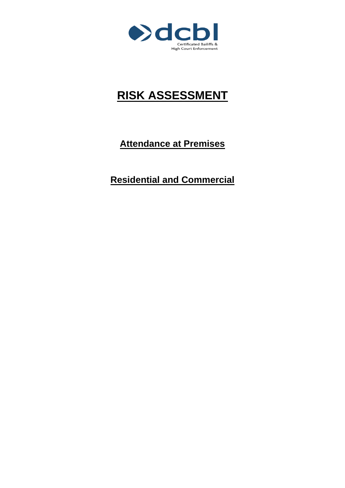

## **RISK ASSESSMENT**

**Attendance at Premises**

**Residential and Commercial**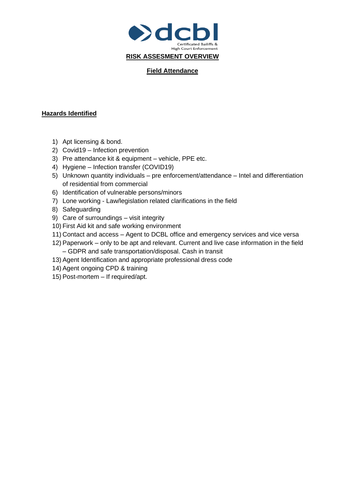

## **Field Attendance**

## **Hazards Identified**

- 1) Apt licensing & bond.
- 2) Covid19 Infection prevention
- 3) Pre attendance kit & equipment vehicle, PPE etc.
- 4) Hygiene Infection transfer (COVID19)
- 5) Unknown quantity individuals pre enforcement/attendance Intel and differentiation of residential from commercial
- 6) Identification of vulnerable persons/minors
- 7) Lone working Law/legislation related clarifications in the field
- 8) Safeguarding
- 9) Care of surroundings visit integrity
- 10) First Aid kit and safe working environment
- 11) Contact and access Agent to DCBL office and emergency services and vice versa
- 12) Paperwork only to be apt and relevant. Current and live case information in the field – GDPR and safe transportation/disposal. Cash in transit
- 13) Agent Identification and appropriate professional dress code
- 14) Agent ongoing CPD & training
- 15) Post-mortem If required/apt.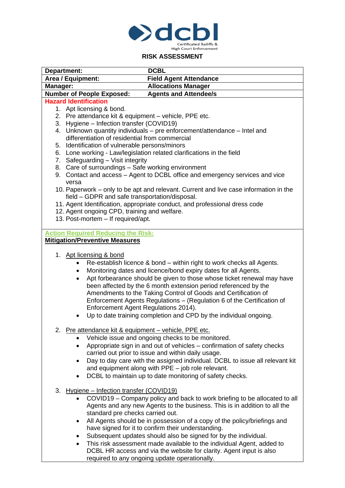

## **RISK ASSESSMENT**

| <b>DCBL</b><br>Department: |                                                                                                                                                                                                                                                                                                                                                                                                                                                                                                                                                                                                         |
|----------------------------|---------------------------------------------------------------------------------------------------------------------------------------------------------------------------------------------------------------------------------------------------------------------------------------------------------------------------------------------------------------------------------------------------------------------------------------------------------------------------------------------------------------------------------------------------------------------------------------------------------|
|                            | <b>Field Agent Attendance</b><br>Area / Equipment:                                                                                                                                                                                                                                                                                                                                                                                                                                                                                                                                                      |
| Manager:                   | <b>Allocations Manager</b>                                                                                                                                                                                                                                                                                                                                                                                                                                                                                                                                                                              |
|                            | <b>Number of People Exposed:</b><br><b>Agents and Attendee/s</b>                                                                                                                                                                                                                                                                                                                                                                                                                                                                                                                                        |
|                            | <b>Hazard Identification</b>                                                                                                                                                                                                                                                                                                                                                                                                                                                                                                                                                                            |
|                            | 1. Apt licensing & bond.                                                                                                                                                                                                                                                                                                                                                                                                                                                                                                                                                                                |
|                            | 2. Pre attendance kit & equipment - vehicle, PPE etc.                                                                                                                                                                                                                                                                                                                                                                                                                                                                                                                                                   |
|                            | 3. Hygiene - Infection transfer (COVID19)                                                                                                                                                                                                                                                                                                                                                                                                                                                                                                                                                               |
|                            | 4. Unknown quantity individuals - pre enforcement/attendance - Intel and                                                                                                                                                                                                                                                                                                                                                                                                                                                                                                                                |
|                            | differentiation of residential from commercial                                                                                                                                                                                                                                                                                                                                                                                                                                                                                                                                                          |
|                            | 5. Identification of vulnerable persons/minors<br>6. Lone working - Law/legislation related clarifications in the field                                                                                                                                                                                                                                                                                                                                                                                                                                                                                 |
|                            | 7. Safeguarding - Visit integrity                                                                                                                                                                                                                                                                                                                                                                                                                                                                                                                                                                       |
|                            | 8. Care of surroundings - Safe working environment                                                                                                                                                                                                                                                                                                                                                                                                                                                                                                                                                      |
|                            | 9. Contact and access - Agent to DCBL office and emergency services and vice                                                                                                                                                                                                                                                                                                                                                                                                                                                                                                                            |
|                            | versa                                                                                                                                                                                                                                                                                                                                                                                                                                                                                                                                                                                                   |
|                            | 10. Paperwork - only to be apt and relevant. Current and live case information in the                                                                                                                                                                                                                                                                                                                                                                                                                                                                                                                   |
|                            | field - GDPR and safe transportation/disposal.                                                                                                                                                                                                                                                                                                                                                                                                                                                                                                                                                          |
|                            | 11. Agent Identification, appropriate conduct, and professional dress code                                                                                                                                                                                                                                                                                                                                                                                                                                                                                                                              |
|                            | 12. Agent ongoing CPD, training and welfare.                                                                                                                                                                                                                                                                                                                                                                                                                                                                                                                                                            |
|                            | 13. Post-mortem - If required/apt.                                                                                                                                                                                                                                                                                                                                                                                                                                                                                                                                                                      |
|                            |                                                                                                                                                                                                                                                                                                                                                                                                                                                                                                                                                                                                         |
|                            | <b>Action Required Reducing the Risk:</b>                                                                                                                                                                                                                                                                                                                                                                                                                                                                                                                                                               |
|                            | <b>Mitigation/Preventive Measures</b>                                                                                                                                                                                                                                                                                                                                                                                                                                                                                                                                                                   |
|                            | 1. Apt licensing & bond<br>Re-establish licence & bond – within right to work checks all Agents.<br>٠<br>Monitoring dates and licence/bond expiry dates for all Agents.<br>$\bullet$<br>Apt forbearance should be given to those whose ticket renewal may have<br>$\bullet$<br>been affected by the 6 month extension period referenced by the<br>Amendments to the Taking Control of Goods and Certification of<br>Enforcement Agents Regulations - (Regulation 6 of the Certification of<br>Enforcement Agent Regulations 2014).<br>Up to date training completion and CPD by the individual ongoing. |
|                            | 2. Pre attendance kit & equipment - vehicle, PPE etc.                                                                                                                                                                                                                                                                                                                                                                                                                                                                                                                                                   |
|                            | Vehicle issue and ongoing checks to be monitored.                                                                                                                                                                                                                                                                                                                                                                                                                                                                                                                                                       |
|                            | Appropriate sign in and out of vehicles - confirmation of safety checks<br>$\bullet$                                                                                                                                                                                                                                                                                                                                                                                                                                                                                                                    |
|                            | carried out prior to issue and within daily usage.                                                                                                                                                                                                                                                                                                                                                                                                                                                                                                                                                      |
|                            | Day to day care with the assigned individual. DCBL to issue all relevant kit<br>$\bullet$                                                                                                                                                                                                                                                                                                                                                                                                                                                                                                               |
|                            | and equipment along with PPE - job role relevant.                                                                                                                                                                                                                                                                                                                                                                                                                                                                                                                                                       |
|                            | DCBL to maintain up to date monitoring of safety checks.<br>$\bullet$                                                                                                                                                                                                                                                                                                                                                                                                                                                                                                                                   |
|                            |                                                                                                                                                                                                                                                                                                                                                                                                                                                                                                                                                                                                         |
|                            | 3. Hygiene - Infection transfer (COVID19)                                                                                                                                                                                                                                                                                                                                                                                                                                                                                                                                                               |
|                            | COVID19 – Company policy and back to work briefing to be allocated to all                                                                                                                                                                                                                                                                                                                                                                                                                                                                                                                               |
|                            | Agents and any new Agents to the business. This is in addition to all the<br>standard pre checks carried out.                                                                                                                                                                                                                                                                                                                                                                                                                                                                                           |
|                            | All Agents should be in possession of a copy of the policy/briefings and                                                                                                                                                                                                                                                                                                                                                                                                                                                                                                                                |
|                            | ٠<br>have signed for it to confirm their understanding.                                                                                                                                                                                                                                                                                                                                                                                                                                                                                                                                                 |
|                            | Subsequent updates should also be signed for by the individual.                                                                                                                                                                                                                                                                                                                                                                                                                                                                                                                                         |
|                            | $\bullet$<br>This risk assessment made available to the individual Agent, added to<br>$\bullet$                                                                                                                                                                                                                                                                                                                                                                                                                                                                                                         |
|                            | DCBL HR access and via the website for clarity. Agent input is also                                                                                                                                                                                                                                                                                                                                                                                                                                                                                                                                     |
|                            | required to any ongoing update operationally.                                                                                                                                                                                                                                                                                                                                                                                                                                                                                                                                                           |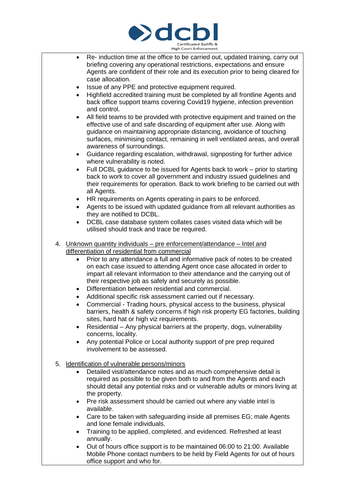

- Re- induction time at the office to be carried out, updated training, carry out briefing covering any operational restrictions, expectations and ensure Agents are confident of their role and its execution prior to being cleared for case allocation.
- Issue of any PPE and protective equipment required.
- Highfield accredited training must be completed by all frontline Agents and back office support teams covering Covid19 hygiene, infection prevention and control.
- All field teams to be provided with protective equipment and trained on the effective use of and safe discarding of equipment after use. Along with guidance on maintaining appropriate distancing, avoidance of touching surfaces, minimising contact, remaining in well ventilated areas, and overall awareness of surroundings.
- Guidance regarding escalation, withdrawal, signposting for further advice where vulnerability is noted.
- Full DCBL guidance to be issued for Agents back to work prior to starting back to work to cover all government and industry issued guidelines and their requirements for operation. Back to work briefing to be carried out with all Agents.
- HR requirements on Agents operating in pairs to be enforced.
- Agents to be issued with updated guidance from all relevant authorities as they are notified to DCBL.
- DCBL case database system collates cases visited data which will be utilised should track and trace be required.
- 4. Unknown quantity individuals pre enforcement/attendance Intel and differentiation of residential from commercial
	- Prior to any attendance a full and informative pack of notes to be created on each case issued to attending Agent once case allocated in order to impart all relevant information to their attendance and the carrying out of their respective job as safely and securely as possible.
	- Differentiation between residential and commercial.
	- Additional specific risk assessment carried out if necessary.
	- Commercial Trading hours, physical access to the business, physical barriers, health & safety concerns if high risk property EG factories, building sites, hard hat or high viz requirements.
	- Residential Any physical barriers at the property, dogs, vulnerability concerns, locality.
	- Any potential Police or Local authority support of pre prep required involvement to be assessed.
- 5. Identification of vulnerable persons/minors
	- Detailed visit/attendance notes and as much comprehensive detail is required as possible to be given both to and from the Agents and each should detail any potential risks and or vulnerable adults or minors living at the property.
	- Pre risk assessment should be carried out where any viable intel is available.
	- Care to be taken with safeguarding inside all premises EG; male Agents and lone female individuals.
	- Training to be applied, completed, and evidenced. Refreshed at least annually.
	- Out of hours office support is to be maintained 06:00 to 21:00. Available Mobile Phone contact numbers to be held by Field Agents for out of hours office support and who for.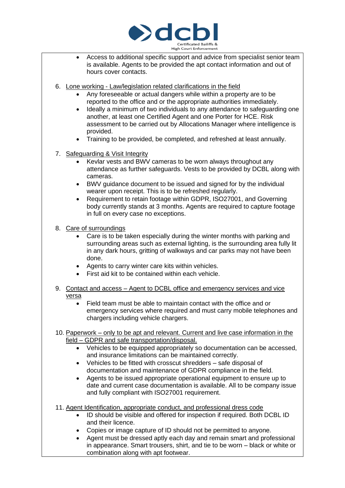

- Access to additional specific support and advice from specialist senior team is available. Agents to be provided the apt contact information and out of hours cover contacts.
- 6. Lone working Law/legislation related clarifications in the field
	- Any foreseeable or actual dangers while within a property are to be reported to the office and or the appropriate authorities immediately.
	- Ideally a minimum of two individuals to any attendance to safeguarding one another, at least one Certified Agent and one Porter for HCE. Risk assessment to be carried out by Allocations Manager where intelligence is provided.
	- Training to be provided, be completed, and refreshed at least annually.
- 7. Safeguarding & Visit Integrity
	- Kevlar vests and BWV cameras to be worn always throughout any attendance as further safeguards. Vests to be provided by DCBL along with cameras.
	- BWV guidance document to be issued and signed for by the individual wearer upon receipt. This is to be refreshed regularly.
	- Requirement to retain footage within GDPR, ISO27001, and Governing body currently stands at 3 months. Agents are required to capture footage in full on every case no exceptions.
- 8. Care of surroundings
	- Care is to be taken especially during the winter months with parking and surrounding areas such as external lighting, is the surrounding area fully lit in any dark hours, gritting of walkways and car parks may not have been done.
	- Agents to carry winter care kits within vehicles.
	- First aid kit to be contained within each vehicle.
- 9. Contact and access Agent to DCBL office and emergency services and vice versa
	- Field team must be able to maintain contact with the office and or emergency services where required and must carry mobile telephones and chargers including vehicle chargers.
- 10. Paperwork only to be apt and relevant. Current and live case information in the field – GDPR and safe transportation/disposal.
	- Vehicles to be equipped appropriately so documentation can be accessed, and insurance limitations can be maintained correctly.
	- Vehicles to be fitted with crosscut shredders safe disposal of documentation and maintenance of GDPR compliance in the field.
	- Agents to be issued appropriate operational equipment to ensure up to date and current case documentation is available. All to be company issue and fully compliant with ISO27001 requirement.
- 11. Agent Identification, appropriate conduct, and professional dress code
	- ID should be visible and offered for inspection if required. Both DCBL ID and their licence.
	- Copies or image capture of ID should not be permitted to anyone.
	- Agent must be dressed aptly each day and remain smart and professional in appearance. Smart trousers, shirt, and tie to be worn – black or white or combination along with apt footwear.